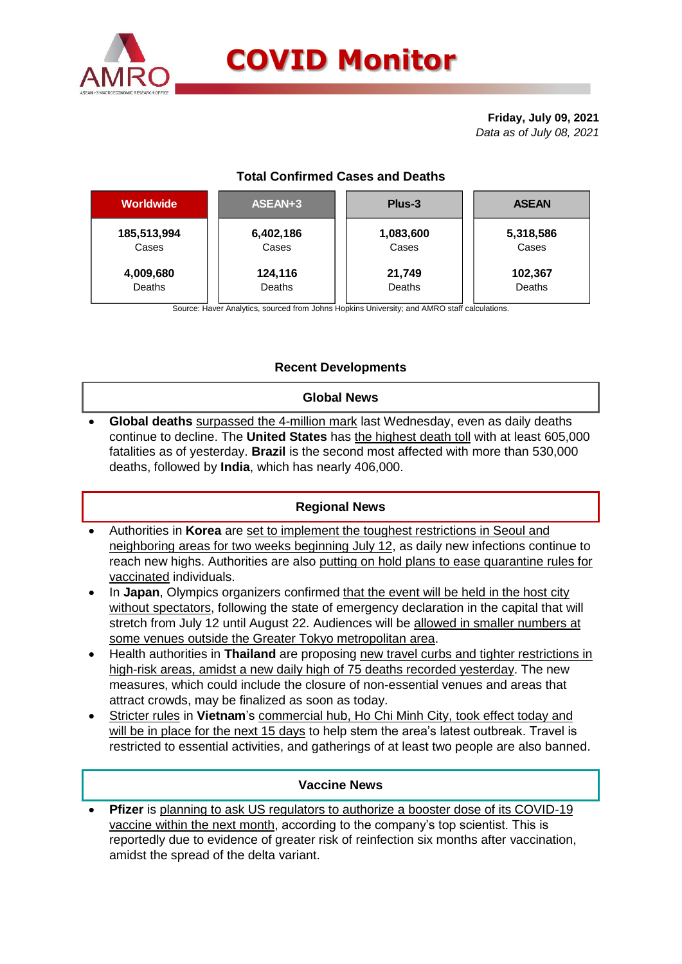

# **COVID Monitor**

**Friday, July 09, 2021** *Data as of July 08, 2021*

## **Total Confirmed Cases and Deaths**

| <b>Worldwide</b> | ASEAN+3   | Plus-3    | <b>ASEAN</b> |  |  |
|------------------|-----------|-----------|--------------|--|--|
| 185,513,994      | 6,402,186 | 1,083,600 | 5,318,586    |  |  |
| Cases            | Cases     | Cases     | Cases        |  |  |
| 4,009,680        | 124,116   | 21,749    | 102,367      |  |  |
| Deaths           | Deaths    | Deaths    | Deaths       |  |  |

Source: Haver Analytics, sourced from Johns Hopkins University; and AMRO staff calculations.

## **Recent Developments**

#### **Global News**

 **Global deaths** surpassed the 4-million mark last Wednesday, even as daily deaths continue to decline. The **United States** has the highest death toll with at least 605,000 fatalities as of yesterday. **Brazil** is the second most affected with more than 530,000 deaths, followed by **India**, which has nearly 406,000.

### **Regional News**

- Authorities in **Korea** are set to implement the toughest restrictions in Seoul and neighboring areas for two weeks beginning July 12, as daily new infections continue to reach new highs. Authorities are also putting on hold plans to ease quarantine rules for vaccinated individuals.
- In **Japan**, Olympics organizers confirmed that the event will be held in the host city without spectators, following the state of emergency declaration in the capital that will stretch from July 12 until August 22. Audiences will be allowed in smaller numbers at some venues outside the Greater Tokyo metropolitan area.
- Health authorities in **Thailand** are proposing new travel curbs and tighter restrictions in high-risk areas, amidst a new daily high of 75 deaths recorded yesterday. The new measures, which could include the closure of non-essential venues and areas that attract crowds, may be finalized as soon as today.
- Stricter rules in **Vietnam**'s commercial hub, Ho Chi Minh City, took effect today and will be in place for the next 15 days to help stem the area's latest outbreak. Travel is restricted to essential activities, and gatherings of at least two people are also banned.

### **Vaccine News**

 **Pfizer** is planning to ask US regulators to authorize a booster dose of its COVID-19 vaccine within the next month, according to the company's top scientist. This is reportedly due to evidence of greater risk of reinfection six months after vaccination, amidst the spread of the delta variant.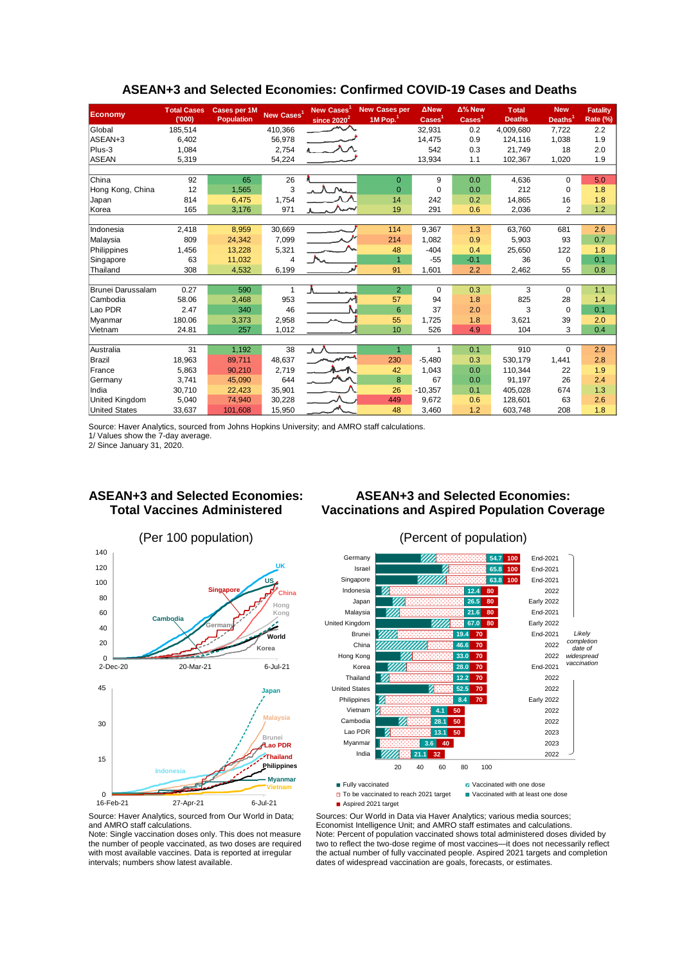| <b>Economy</b>       | <b>Total Cases</b><br>(000) | <b>Cases per 1M</b><br><b>Population</b> | New Cases <sup>1</sup> | New Cases <sup>1</sup><br>since 2020 <sup>2</sup> | <b>New Cases per</b><br>1M Pop. $1$ | <b>ANew</b><br>Cases <sup>1</sup> | $\Delta$ % New<br>$\text{Case}$ | <b>Total</b><br><b>Deaths</b> | <b>New</b><br>Deaths <sup>1</sup> | <b>Fatality</b><br>Rate (%) |
|----------------------|-----------------------------|------------------------------------------|------------------------|---------------------------------------------------|-------------------------------------|-----------------------------------|---------------------------------|-------------------------------|-----------------------------------|-----------------------------|
| Global               | 185,514                     |                                          | 410,366                | へへ                                                |                                     | 32,931                            | 0.2                             | 4,009,680                     | 7,722                             | 2.2                         |
| ASEAN+3              | 6.402                       |                                          | 56,978                 |                                                   |                                     | 14,475                            | 0.9                             | 124,116                       | 1,038                             | 1.9                         |
| Plus-3               | 1,084                       |                                          | 2,754                  | $\sim$                                            |                                     | 542                               | 0.3                             | 21,749                        | 18                                | 2.0                         |
| <b>ASEAN</b>         | 5,319                       |                                          | 54.224                 |                                                   |                                     | 13,934                            | 1.1                             | 102.367                       | 1,020                             | 1.9                         |
|                      |                             |                                          |                        |                                                   |                                     |                                   |                                 |                               |                                   |                             |
| China                | 92                          | 65                                       | 26                     |                                                   | $\mathbf{0}$                        | 9                                 | 0.0                             | 4,636                         | 0                                 | 5.0                         |
| Hong Kong, China     | 12                          | 1.565                                    | 3                      |                                                   | $\overline{0}$                      | $\Omega$                          | 0.0                             | 212                           | 0                                 | 1.8                         |
| Japan                | 814                         | 6,475                                    | 1,754                  |                                                   | 14                                  | 242                               | 0.2                             | 14,865                        | 16                                | 1.8                         |
| Korea                | 165                         | 3,176                                    | 971                    |                                                   | 19                                  | 291                               | 0.6                             | 2,036                         | $\overline{2}$                    | 1.2                         |
|                      |                             |                                          |                        |                                                   |                                     |                                   |                                 |                               |                                   |                             |
| Indonesia            | 2,418                       | 8,959                                    | 30,669                 |                                                   | 114                                 | 9,367                             | 1.3                             | 63,760                        | 681                               | 2.6                         |
| Malaysia             | 809                         | 24,342                                   | 7,099                  |                                                   | 214                                 | 1,082                             | 0.9                             | 5,903                         | 93                                | 0.7                         |
| Philippines          | 1,456                       | 13,228                                   | 5,321                  |                                                   | 48                                  | $-404$                            | 0.4                             | 25,650                        | 122                               | 1.8                         |
| Singapore            | 63                          | 11,032                                   | 4                      |                                                   | $\overline{1}$                      | $-55$                             | $-0.1$                          | 36                            | 0                                 | 0.1                         |
| Thailand             | 308                         | 4,532                                    | 6,199                  |                                                   | 91                                  | 1,601                             | 2.2                             | 2,462                         | 55                                | 0.8                         |
|                      |                             |                                          |                        |                                                   |                                     |                                   |                                 |                               |                                   |                             |
| Brunei Darussalam    | 0.27                        | 590                                      | 1                      |                                                   | $\overline{2}$                      | 0                                 | 0.3                             | 3                             | 0                                 | 1.1                         |
| Cambodia             | 58.06                       | 3,468                                    | 953                    | نہہ                                               | 57                                  | 94                                | 1.8                             | 825                           | 28                                | 1.4                         |
| Lao PDR              | 2.47                        | 340                                      | 46                     |                                                   | 6                                   | 37                                | 2.0                             | 3                             | $\Omega$                          | 0.1                         |
| Myanmar              | 180.06                      | 3,373                                    | 2,958                  |                                                   | 55                                  | 1,725                             | 1.8                             | 3,621                         | 39                                | 2.0                         |
| Vietnam              | 24.81                       | 257                                      | 1,012                  |                                                   | 10                                  | 526                               | 4.9                             | 104                           | 3                                 | 0.4                         |
|                      |                             |                                          |                        |                                                   |                                     |                                   |                                 |                               |                                   |                             |
| Australia            | 31                          | 1,192                                    | 38                     | . A . A                                           | $\overline{1}$                      | $\mathbf{1}$                      | 0.1                             | 910                           | $\Omega$                          | 2.9                         |
| Brazil               | 18,963                      | 89,711                                   | 48,637                 |                                                   | 230                                 | $-5,480$                          | 0.3                             | 530,179                       | 1,441                             | 2.8                         |
| France               | 5,863                       | 90,210                                   | 2,719                  |                                                   | 42                                  | 1,043                             | 0.0                             | 110,344                       | 22                                | 1.9                         |
| Germany              | 3,741                       | 45,090                                   | 644                    |                                                   | 8                                   | 67                                | 0.0                             | 91,197                        | 26                                | 2.4                         |
| India                | 30,710                      | 22,423                                   | 35,901                 |                                                   | 26                                  | $-10,357$                         | 0.1                             | 405,028                       | 674                               | 1.3                         |
| United Kingdom       | 5.040                       | 74,940                                   | 30,228                 |                                                   | 449                                 | 9,672                             | 0.6                             | 128.601                       | 63                                | 2.6                         |
| <b>United States</b> | 33,637                      | 101,608                                  | 15,950                 |                                                   | 48                                  | 3,460                             | 1.2                             | 603,748                       | 208                               | 1.8                         |

#### **ASEAN+3 and Selected Economies: Confirmed COVID-19 Cases and Deaths**

Source: Haver Analytics, sourced from Johns Hopkins University; and AMRO staff calculations.

1/ Values show the 7-day average.

2/ Since January 31, 2020.

#### **ASEAN+3 and Selected Economies: Total Vaccines Administered**









To be vaccinated to reach 2021 target ■ Aspired 2021 target

Sources: Our World in Data via Haver Analytics; various media sources; Economist Intelligence Unit; and AMRO staff estimates and calculations. Note: Percent of population vaccinated shows total administered doses divided by two to reflect the two-dose regime of most vaccines—it does not necessarily reflect the actual number of fully vaccinated people. Aspired 2021 targets and completion dates of widespread vaccination are goals, forecasts, or estimates.

#### Source: Haver Analytics, sourced from Our World in Data; and AMRO staff calculations.

Note: Single vaccination doses only. This does not measure the number of people vaccinated, as two doses are required with most available vaccines. Data is reported at irregular intervals; numbers show latest available.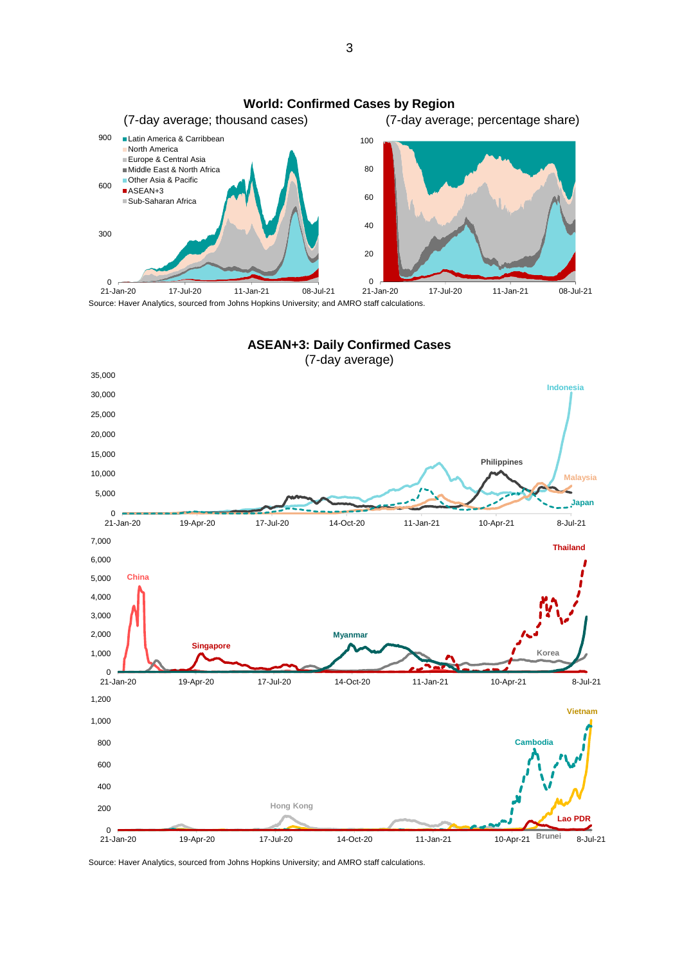

Source: Haver Analytics, sourced from Johns Hopkins University; and AMRO staff calculations.



Source: Haver Analytics, sourced from Johns Hopkins University; and AMRO staff calculations.

3